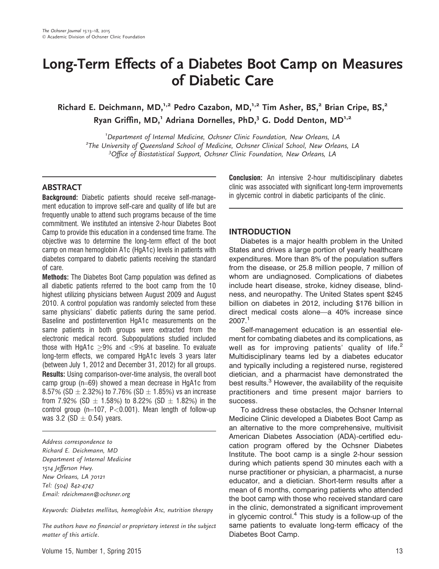# Long-Term Effects of a Diabetes Boot Camp on Measures of Diabetic Care

Richard E. Deichmann, MD,<sup>1,2</sup> Pedro Cazabon, MD,<sup>1,2</sup> Tim Asher, BS,<sup>2</sup> Brian Cripe, BS,<sup>2</sup> Ryan Griffin, MD,<sup>1</sup> Adriana Dornelles, PhD,<sup>3</sup> G. Dodd Denton, MD<sup>1,2</sup>

<sup>1</sup> Department of Internal Medicine, Ochsner Clinic Foundation, New Orleans, LA<br><sup>2</sup> The University of Queensland School of Medicine, Ochsner Clinical School, New Orlean <sup>2</sup>The University of Queensland School of Medicine, Ochsner Clinical School, New Orleans, LA <sup>3</sup>Office of Biostatistical Support, Ochsner Clinic Foundation, New Orleans, LA

# **ABSTRACT**

Background: Diabetic patients should receive self-management education to improve self-care and quality of life but are frequently unable to attend such programs because of the time commitment. We instituted an intensive 2-hour Diabetes Boot Camp to provide this education in a condensed time frame. The objective was to determine the long-term effect of the boot camp on mean hemoglobin A1c (HgA1c) levels in patients with diabetes compared to diabetic patients receiving the standard of care.

Methods: The Diabetes Boot Camp population was defined as all diabetic patients referred to the boot camp from the 10 highest utilizing physicians between August 2009 and August 2010. A control population was randomly selected from these same physicians' diabetic patients during the same period. Baseline and postintervention HgA1c measurements on the same patients in both groups were extracted from the electronic medical record. Subpopulations studied included those with HgA1c  $>9\%$  and  $<9\%$  at baseline. To evaluate long-term effects, we compared HgA1c levels 3 years later (between July 1, 2012 and December 31, 2012) for all groups. Results: Using comparison-over-time analysis, the overall boot camp group ( $n=69$ ) showed a mean decrease in HgA1c from 8.57% (SD  $\pm$  2.32%) to 7.76% (SD  $\pm$  1.85%) vs an increase from 7.92% (SD  $\pm$  1.58%) to 8.22% (SD  $\pm$  1.82%) in the control group ( $n=107$ , P $< 0.001$ ). Mean length of follow-up was 3.2 (SD  $\pm$  0.54) years.

Address correspondence to Richard E. Deichmann, MD Department of Internal Medicine 1514 Jefferson Hwy. New Orleans, LA 70121 Tel: (504) 842-4747 Email: rdeichmann@ochsner.org

Keywords: Diabetes mellitus, hemoglobin A1c, nutrition therapy

The authors have no financial or proprietary interest in the subject matter of this article.

Conclusion: An intensive 2-hour multidisciplinary diabetes clinic was associated with significant long-term improvements in glycemic control in diabetic participants of the clinic.

# INTRODUCTION

Diabetes is a major health problem in the United States and drives a large portion of yearly healthcare expenditures. More than 8% of the population suffers from the disease, or 25.8 million people, 7 million of whom are undiagnosed. Complications of diabetes include heart disease, stroke, kidney disease, blindness, and neuropathy. The United States spent \$245 billion on diabetes in 2012, including \$176 billion in direct medical costs alone—a 40% increase since 2007.<sup>1</sup>

Self-management education is an essential element for combating diabetes and its complications, as well as for improving patients' quality of life. $2$ Multidisciplinary teams led by a diabetes educator and typically including a registered nurse, registered dietician, and a pharmacist have demonstrated the best results.<sup>3</sup> However, the availability of the requisite practitioners and time present major barriers to success.

To address these obstacles, the Ochsner Internal Medicine Clinic developed a Diabetes Boot Camp as an alternative to the more comprehensive, multivisit American Diabetes Association (ADA)-certified education program offered by the Ochsner Diabetes Institute. The boot camp is a single 2-hour session during which patients spend 30 minutes each with a nurse practitioner or physician, a pharmacist, a nurse educator, and a dietician. Short-term results after a mean of 6 months, comparing patients who attended the boot camp with those who received standard care in the clinic, demonstrated a significant improvement in glycemic control.<sup>4</sup> This study is a follow-up of the same patients to evaluate long-term efficacy of the Diabetes Boot Camp.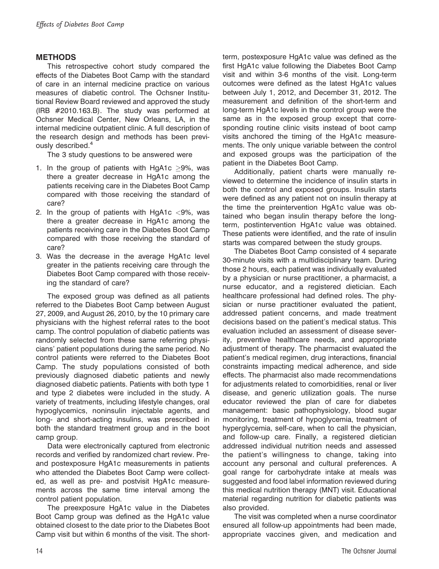# METHODS

This retrospective cohort study compared the effects of the Diabetes Boot Camp with the standard of care in an internal medicine practice on various measures of diabetic control. The Ochsner Institutional Review Board reviewed and approved the study (IRB #2010.163.B). The study was performed at Ochsner Medical Center, New Orleans, LA, in the internal medicine outpatient clinic. A full description of the research design and methods has been previously described.<sup>4</sup>

The 3 study questions to be answered were

- 1. In the group of patients with  $HgA1c > 9$ %, was there a greater decrease in HgA1c among the patients receiving care in the Diabetes Boot Camp compared with those receiving the standard of care?
- 2. In the group of patients with  $HqA1c < 9\%$ , was there a greater decrease in HgA1c among the patients receiving care in the Diabetes Boot Camp compared with those receiving the standard of care?
- 3. Was the decrease in the average HgA1c level greater in the patients receiving care through the Diabetes Boot Camp compared with those receiving the standard of care?

The exposed group was defined as all patients referred to the Diabetes Boot Camp between August 27, 2009, and August 26, 2010, by the 10 primary care physicians with the highest referral rates to the boot camp. The control population of diabetic patients was randomly selected from these same referring physicians' patient populations during the same period. No control patients were referred to the Diabetes Boot Camp. The study populations consisted of both previously diagnosed diabetic patients and newly diagnosed diabetic patients. Patients with both type 1 and type 2 diabetes were included in the study. A variety of treatments, including lifestyle changes, oral hypoglycemics, noninsulin injectable agents, and long- and short-acting insulins, was prescribed in both the standard treatment group and in the boot camp group.

Data were electronically captured from electronic records and verified by randomized chart review. Preand postexposure HgA1c measurements in patients who attended the Diabetes Boot Camp were collected, as well as pre- and postvisit HgA1c measurements across the same time interval among the control patient population.

The preexposure HgA1c value in the Diabetes Boot Camp group was defined as the HgA1c value obtained closest to the date prior to the Diabetes Boot Camp visit but within 6 months of the visit. The shortterm, postexposure HgA1c value was defined as the first HgA1c value following the Diabetes Boot Camp visit and within 3-6 months of the visit. Long-term outcomes were defined as the latest HgA1c values between July 1, 2012, and December 31, 2012. The measurement and definition of the short-term and long-term HgA1c levels in the control group were the same as in the exposed group except that corresponding routine clinic visits instead of boot camp visits anchored the timing of the HgA1c measurements. The only unique variable between the control and exposed groups was the participation of the patient in the Diabetes Boot Camp.

Additionally, patient charts were manually reviewed to determine the incidence of insulin starts in both the control and exposed groups. Insulin starts were defined as any patient not on insulin therapy at the time the preintervention HgA1c value was obtained who began insulin therapy before the longterm, postintervention HgA1c value was obtained. These patients were identified, and the rate of insulin starts was compared between the study groups.

The Diabetes Boot Camp consisted of 4 separate 30-minute visits with a multidisciplinary team. During those 2 hours, each patient was individually evaluated by a physician or nurse practitioner, a pharmacist, a nurse educator, and a registered dietician. Each healthcare professional had defined roles. The physician or nurse practitioner evaluated the patient, addressed patient concerns, and made treatment decisions based on the patient's medical status. This evaluation included an assessment of disease severity, preventive healthcare needs, and appropriate adjustment of therapy. The pharmacist evaluated the patient's medical regimen, drug interactions, financial constraints impacting medical adherence, and side effects. The pharmacist also made recommendations for adjustments related to comorbidities, renal or liver disease, and generic utilization goals. The nurse educator reviewed the plan of care for diabetes management: basic pathophysiology, blood sugar monitoring, treatment of hypoglycemia, treatment of hyperglycemia, self-care, when to call the physician, and follow-up care. Finally, a registered dietician addressed individual nutrition needs and assessed the patient's willingness to change, taking into account any personal and cultural preferences. A goal range for carbohydrate intake at meals was suggested and food label information reviewed during this medical nutrition therapy (MNT) visit. Educational material regarding nutrition for diabetic patients was also provided.

The visit was completed when a nurse coordinator ensured all follow-up appointments had been made, appropriate vaccines given, and medication and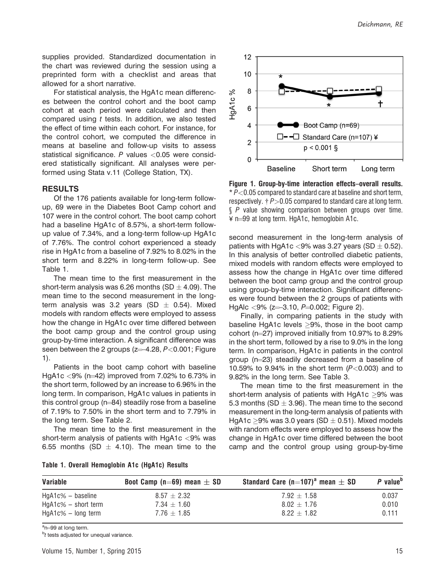supplies provided. Standardized documentation in the chart was reviewed during the session using a preprinted form with a checklist and areas that allowed for a short narrative.

For statistical analysis, the HgA1c mean differences between the control cohort and the boot camp cohort at each period were calculated and then compared using t tests. In addition, we also tested the effect of time within each cohort. For instance, for the control cohort, we computed the difference in means at baseline and follow-up visits to assess statistical significance.  $P$  values <0.05 were considered statistically significant. All analyses were performed using Stata v.11 (College Station, TX).

#### RESULTS

Of the 176 patients available for long-term followup, 69 were in the Diabetes Boot Camp cohort and 107 were in the control cohort. The boot camp cohort had a baseline HgA1c of 8.57%, a short-term followup value of 7.34%, and a long-term follow-up HgA1c of 7.76%. The control cohort experienced a steady rise in HgA1c from a baseline of 7.92% to 8.02% in the short term and 8.22% in long-term follow-up. See Table 1.

The mean time to the first measurement in the short-term analysis was 6.26 months (SD  $\pm$  4.09). The mean time to the second measurement in the longterm analysis was 3.2 years (SD  $\pm$  0.54). Mixed models with random effects were employed to assess how the change in HgA1c over time differed between the boot camp group and the control group using group-by-time interaction. A significant difference was seen between the 2 groups ( $z=-4.28$ ,  $P<0.001$ ; Figure 1).

Patients in the boot camp cohort with baseline HgA1c <9% ( $n=42$ ) improved from 7.02% to 6.73% in the short term, followed by an increase to 6.96% in the long term. In comparison, HgA1c values in patients in this control group ( $n=84$ ) steadily rose from a baseline of 7.19% to 7.50% in the short term and to 7.79% in the long term. See Table 2.

The mean time to the first measurement in the short-term analysis of patients with HgA1c <9% was 6.55 months (SD  $\pm$  4.10). The mean time to the



Figure 1. Group-by-time interaction effects–overall results.  $*P<0.05$  compared to standard care at baseline and short term, respectively.  $\dagger P$  > 0.05 compared to standard care at long term. § P value showing comparison between groups over time.  $\angle$  n=99 at long term. HgA1c, hemoglobin A1c.

second measurement in the long-term analysis of patients with HgA1c <9% was 3.27 years (SD  $\pm$  0.52). In this analysis of better controlled diabetic patients, mixed models with random effects were employed to assess how the change in HgA1c over time differed between the boot camp group and the control group using group-by-time interaction. Significant differences were found between the 2 groups of patients with HgAlc  $<9\%$  (z=3.10, P=0.002; Figure 2).

Finally, in comparing patients in the study with baseline HgA1c levels  $\geq$ 9%, those in the boot camp cohort ( $n=27$ ) improved initially from 10.97% to 8.29% in the short term, followed by a rise to 9.0% in the long term. In comparison, HgA1c in patients in the control group  $(n=23)$  steadily decreased from a baseline of 10.59% to 9.94% in the short term  $(P<0.003)$  and to 9.82% in the long term. See Table 3.

The mean time to the first measurement in the short-term analysis of patients with  $HqA1c > 9%$  was 5.3 months (SD  $\pm$  3.96). The mean time to the second measurement in the long-term analysis of patients with HgA1c  $\geq$ 9% was 3.0 years (SD  $\pm$  0.51). Mixed models with random effects were employed to assess how the change in HgA1c over time differed between the boot camp and the control group using group-by-time

| Table 1. Overall Hemoglobin A1c (HgA1c) Results |  |
|-------------------------------------------------|--|
|-------------------------------------------------|--|

| Variable               | Boot Camp (n=69) mean $\pm$ SD | Standard Care (n=107) <sup>a</sup> mean $\pm$ SD | P value <sup>b</sup> |
|------------------------|--------------------------------|--------------------------------------------------|----------------------|
| $HgA1c\% - baseline$   | $8.57 \pm 2.32$                | $7.92 + 1.58$                                    | 0.037                |
| $HgA1c\% - short term$ | $7.34 + 1.60$                  | $8.02 + 1.76$                                    | 0.010                |
| $HgA1c\% - long term$  | $7.76 + 1.85$                  | $8.22 + 1.82$                                    | 0.111                |

<sup>a</sup>n=99 at long term.

<sup>b</sup>t tests adjusted for unequal variance.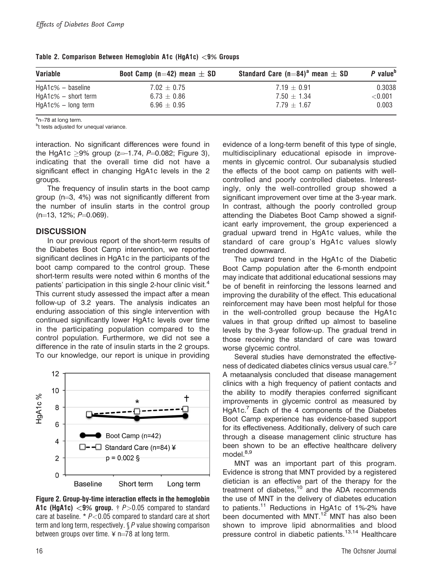| Variable               | Boot Camp (n=42) mean $\pm$ SD | Standard Care (n=84) <sup>a</sup> mean $\pm$ SD | P value <sup>b</sup> |
|------------------------|--------------------------------|-------------------------------------------------|----------------------|
| $HgA1c\% - baseline$   | $7.02 + 0.75$                  | $7.19 + 0.91$                                   | 0.3038               |
| $HgA1c\%$ – short term | $6.73 + 0.86$                  | $7.50 + 1.34$                                   | $<$ $0.001$          |
| $HgA1c\% - long term$  | $6.96 + 0.95$                  | $7.79 + 1.67$                                   | 0.003                |

Table 2. Comparison Between Hemoglobin A1c (HgA1c) <9% Groups

<sup>a</sup>n=78 at long term.

<sup>b</sup>t tests adjusted for unequal variance.

interaction. No significant differences were found in the HgA1c  $\geq$ 9% group (z=-1.74, P=0.082; Figure 3), indicating that the overall time did not have a significant effect in changing HgA1c levels in the 2 groups.

The frequency of insulin starts in the boot camp group ( $n=3$ , 4%) was not significantly different from the number of insulin starts in the control group  $(n=13, 12\%; P=0.069).$ 

### **DISCUSSION**

In our previous report of the short-term results of the Diabetes Boot Camp intervention, we reported significant declines in HgA1c in the participants of the boot camp compared to the control group. These short-term results were noted within 6 months of the patients' participation in this single 2-hour clinic visit.<sup>4</sup> This current study assessed the impact after a mean follow-up of 3.2 years. The analysis indicates an enduring association of this single intervention with continued significantly lower HgA1c levels over time in the participating population compared to the control population. Furthermore, we did not see a difference in the rate of insulin starts in the 2 groups. To our knowledge, our report is unique in providing



Figure 2. Group-by-time interaction effects in the hemoglobin **A1c (HgA1c)**  $<$ **9% group.** †  $P$ >0.05 compared to standard care at baseline.  $* P<0.05$  compared to standard care at short term and long term, respectively. § P value showing comparison between groups over time.  $\angle$  n=78 at long term.

evidence of a long-term benefit of this type of single, multidisciplinary educational episode in improvements in glycemic control. Our subanalysis studied the effects of the boot camp on patients with wellcontrolled and poorly controlled diabetes. Interestingly, only the well-controlled group showed a significant improvement over time at the 3-year mark. In contrast, although the poorly controlled group attending the Diabetes Boot Camp showed a significant early improvement, the group experienced a gradual upward trend in HgA1c values, while the standard of care group's HgA1c values slowly trended downward.

The upward trend in the HgA1c of the Diabetic Boot Camp population after the 6-month endpoint may indicate that additional educational sessions may be of benefit in reinforcing the lessons learned and improving the durability of the effect. This educational reinforcement may have been most helpful for those in the well-controlled group because the HgA1c values in that group drifted up almost to baseline levels by the 3-year follow-up. The gradual trend in those receiving the standard of care was toward worse glycemic control.

Several studies have demonstrated the effectiveness of dedicated diabetes clinics versus usual care.<sup>5-7</sup> A metaanalysis concluded that disease management clinics with a high frequency of patient contacts and the ability to modify therapies conferred significant improvements in glycemic control as measured by HgA1c. $<sup>7</sup>$  Each of the 4 components of the Diabetes</sup> Boot Camp experience has evidence-based support for its effectiveness. Additionally, delivery of such care through a disease management clinic structure has been shown to be an effective healthcare delivery  $model.<sup>8,9</sup>$ 

MNT was an important part of this program. Evidence is strong that MNT provided by a registered dietician is an effective part of the therapy for the treatment of diabetes,<sup>10</sup> and the ADA recommends the use of MNT in the delivery of diabetes education to patients.<sup>11</sup> Reductions in HgA1c of 1%-2% have been documented with MNT.<sup>12</sup> MNT has also been shown to improve lipid abnormalities and blood pressure control in diabetic patients.<sup>13,14</sup> Healthcare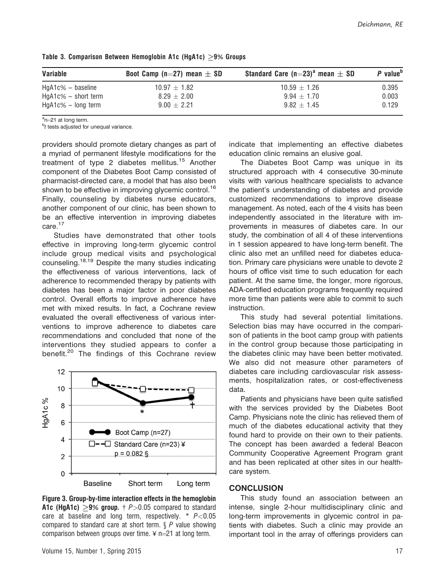| Variable               | Boot Camp (n=27) mean $\pm$ SD | Standard Care (n=23) <sup>a</sup> mean $\pm$ SD | $P$ value <sup>b</sup> |
|------------------------|--------------------------------|-------------------------------------------------|------------------------|
| $HgA1c\% - baseline$   | $10.97 + 1.82$                 | $10.59 + 1.26$                                  | 0.395                  |
| $HgA1c\%$ – short term | $8.29 + 2.00$                  | $9.94 + 1.70$                                   | 0.003                  |
| $HgA1c\% - long term$  | $9.00 + 2.21$                  | $9.82 + 1.45$                                   | 0.129                  |

Table 3. Comparison Between Hemoglobin A1c (HgA1c)  $>9\%$  Groups

<sup>a</sup>n=21 at long term.<br><sup>b</sup>t tests adjusted for

 $b$ <sup>b</sup>t tests adjusted for unequal variance.

providers should promote dietary changes as part of a myriad of permanent lifestyle modifications for the treatment of type 2 diabetes mellitus.<sup>15</sup> Another component of the Diabetes Boot Camp consisted of pharmacist-directed care, a model that has also been shown to be effective in improving glycemic control.<sup>16</sup> Finally, counseling by diabetes nurse educators, another component of our clinic, has been shown to be an effective intervention in improving diabetes care.<sup>17</sup>

Studies have demonstrated that other tools effective in improving long-term glycemic control include group medical visits and psychological counseling.<sup>18,19</sup> Despite the many studies indicating the effectiveness of various interventions, lack of adherence to recommended therapy by patients with diabetes has been a major factor in poor diabetes control. Overall efforts to improve adherence have met with mixed results. In fact, a Cochrane review evaluated the overall effectiveness of various interventions to improve adherence to diabetes care recommendations and concluded that none of the interventions they studied appears to confer a benefit.<sup>20</sup> The findings of this Cochrane review



Figure 3. Group-by-time interaction effects in the hemoglobin **A1c (HgA1c)**  $\ge$ **9% group.** † P $>$ 0.05 compared to standard care at baseline and long term, respectively.  $* P<0.05$ compared to standard care at short term.  $\oint P$  value showing comparison between groups over time.  $\angle$  n=21 at long term.

indicate that implementing an effective diabetes education clinic remains an elusive goal.

The Diabetes Boot Camp was unique in its structured approach with 4 consecutive 30-minute visits with various healthcare specialists to advance the patient's understanding of diabetes and provide customized recommendations to improve disease management. As noted, each of the 4 visits has been independently associated in the literature with improvements in measures of diabetes care. In our study, the combination of all 4 of these interventions in 1 session appeared to have long-term benefit. The clinic also met an unfilled need for diabetes education. Primary care physicians were unable to devote 2 hours of office visit time to such education for each patient. At the same time, the longer, more rigorous, ADA-certified education programs frequently required more time than patients were able to commit to such instruction.

This study had several potential limitations. Selection bias may have occurred in the comparison of patients in the boot camp group with patients in the control group because those participating in the diabetes clinic may have been better motivated. We also did not measure other parameters of diabetes care including cardiovascular risk assessments, hospitalization rates, or cost-effectiveness data.

Patients and physicians have been quite satisfied with the services provided by the Diabetes Boot Camp. Physicians note the clinic has relieved them of much of the diabetes educational activity that they found hard to provide on their own to their patients. The concept has been awarded a federal Beacon Community Cooperative Agreement Program grant and has been replicated at other sites in our healthcare system.

#### **CONCLUSION**

This study found an association between an intense, single 2-hour multidisciplinary clinic and long-term improvements in glycemic control in patients with diabetes. Such a clinic may provide an important tool in the array of offerings providers can